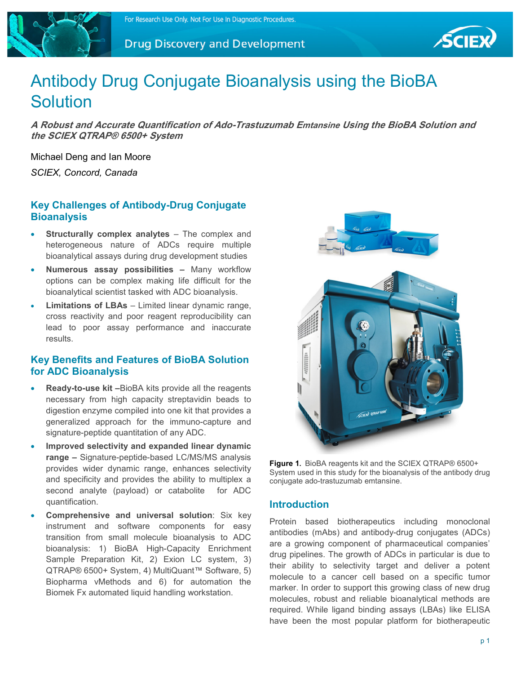





# Antibody Drug Conjugate Bioanalysis using the BioBA **Solution**

**A Robust and Accurate Quantification of Ado-Trastuzumab Emtansine Using the BioBA Solution and the SCIEX QTRAP® 6500+ System** 

Michael Deng and Ian Moore

*SCIEX, Concord, Canada* 

# **Key Challenges of Antibody-Drug Conjugate Bioanalysis**

- **Structurally complex analytes** The complex and heterogeneous nature of ADCs require multiple bioanalytical assays during drug development studies
- **Numerous assay possibilities –** Many workflow options can be complex making life difficult for the bioanalytical scientist tasked with ADC bioanalysis.
- **Limitations of LBAs**  Limited linear dynamic range, cross reactivity and poor reagent reproducibility can lead to poor assay performance and inaccurate results.

## **Key Benefits and Features of BioBA Solution for ADC Bioanalysis**

- **Ready-to-use kit –**BioBA kits provide all the reagents necessary from high capacity streptavidin beads to digestion enzyme compiled into one kit that provides a generalized approach for the immuno-capture and signature-peptide quantitation of any ADC.
- **Improved selectivity and expanded linear dynamic range –** Signature-peptide-based LC/MS/MS analysis provides wider dynamic range, enhances selectivity and specificity and provides the ability to multiplex a second analyte (payload) or catabolite for ADC quantification.
- **Comprehensive and universal solution**: Six key instrument and software components for easy transition from small molecule bioanalysis to ADC bioanalysis: 1) BioBA High-Capacity Enrichment Sample Preparation Kit, 2) Exion LC system, 3) QTRAP® 6500+ System, 4) MultiQuant™ Software, 5) Biopharma vMethods and 6) for automation the Biomek Fx automated liquid handling workstation.



**Figure 1.** BioBA reagents kit and the SCIEX QTRAP® 6500+ System used in this study for the bioanalysis of the antibody drug conjugate ado-trastuzumab emtansine.

## **Introduction**

Protein based biotherapeutics including monoclonal antibodies (mAbs) and antibody-drug conjugates (ADCs) are a growing component of pharmaceutical companies' drug pipelines. The growth of ADCs in particular is due to their ability to selectivity target and deliver a potent molecule to a cancer cell based on a specific tumor marker. In order to support this growing class of new drug molecules, robust and reliable bioanalytical methods are required. While ligand binding assays (LBAs) like ELISA have been the most popular platform for biotherapeutic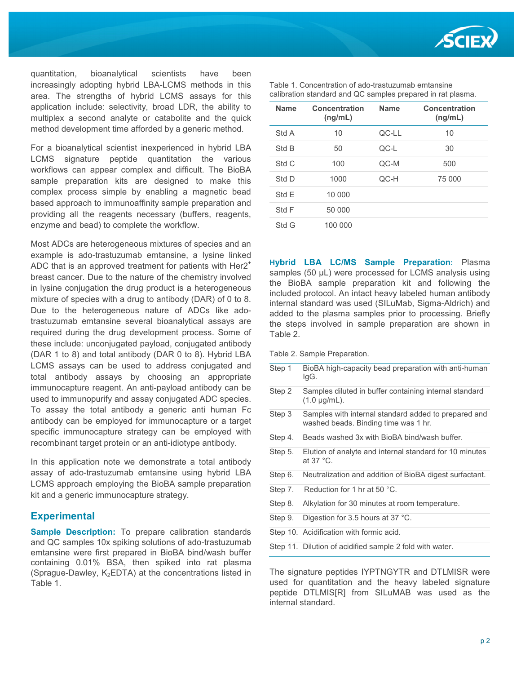

quantitation, bioanalytical scientists have been increasingly adopting hybrid LBA-LCMS methods in this area. The strengths of hybrid LCMS assays for this application include: selectivity, broad LDR, the ability to multiplex a second analyte or catabolite and the quick method development time afforded by a generic method.

For a bioanalytical scientist inexperienced in hybrid LBA LCMS signature peptide quantitation the various workflows can appear complex and difficult. The BioBA sample preparation kits are designed to make this complex process simple by enabling a magnetic bead based approach to immunoaffinity sample preparation and providing all the reagents necessary (buffers, reagents, enzyme and bead) to complete the workflow.

Most ADCs are heterogeneous mixtures of species and an example is ado-trastuzumab emtansine, a lysine linked ADC that is an approved treatment for patients with  $Her2<sup>+</sup>$ breast cancer. Due to the nature of the chemistry involved in lysine conjugation the drug product is a heterogeneous mixture of species with a drug to antibody (DAR) of 0 to 8. Due to the heterogeneous nature of ADCs like adotrastuzumab emtansine several bioanalytical assays are required during the drug development process. Some of these include: unconjugated payload, conjugated antibody (DAR 1 to 8) and total antibody (DAR 0 to 8). Hybrid LBA LCMS assays can be used to address conjugated and total antibody assays by choosing an appropriate immunocapture reagent. An anti-payload antibody can be used to immunopurify and assay conjugated ADC species. To assay the total antibody a generic anti human Fc antibody can be employed for immunocapture or a target specific immunocapture strategy can be employed with recombinant target protein or an anti-idiotype antibody.

In this application note we demonstrate a total antibody assay of ado-trastuzumab emtansine using hybrid LBA LCMS approach employing the BioBA sample preparation kit and a generic immunocapture strategy.

#### **Experimental**

**Sample Description:** To prepare calibration standards and QC samples 10x spiking solutions of ado-trastuzumab emtansine were first prepared in BioBA bind/wash buffer containing 0.01% BSA, then spiked into rat plasma (Sprague-Dawley,  $K_2EDTA$ ) at the concentrations listed in Table 1.

| <b>Name</b> | Concentration<br>(ng/mL) | <b>Name</b> | Concentration<br>(ng/mL) |
|-------------|--------------------------|-------------|--------------------------|
| Std A       | 10                       | QC-LL       | 10                       |
| Std B       | 50                       | $OC-L$      | 30                       |
| Std C       | 100                      | $OC-M$      | 500                      |
| Std D       | 1000                     | QC-H        | 75 000                   |
| Std E       | 10 000                   |             |                          |
| Std F       | 50 000                   |             |                          |
| Std G       | 100 000                  |             |                          |

**Hybrid LBA LC/MS Sample Preparation:** Plasma samples (50 µL) were processed for LCMS analysis using the BioBA sample preparation kit and following the included protocol. An intact heavy labeled human antibody internal standard was used (SILuMab, Sigma-Aldrich) and added to the plasma samples prior to processing. Briefly the steps involved in sample preparation are shown in Table 2.

- Table 2. Sample Preparation.
- Step 1 BioBA high-capacity bead preparation with anti-human IgG. Step 2 Samples diluted in buffer containing internal standard (1.0 µg/mL). Step 3 Samples with internal standard added to prepared and washed beads. Binding time was 1 hr. Step 4. Beads washed 3x with BioBA bind/wash buffer. Step 5. Elution of analyte and internal standard for 10 minutes at 37 °C. Step 6. Neutralization and addition of BioBA digest surfactant. Step 7. Reduction for 1 hr at 50 °C. Step 8. Alkylation for 30 minutes at room temperature. Step 9. Digestion for 3.5 hours at 37 °C. Step 10. Acidification with formic acid. Step 11. Dilution of acidified sample 2 fold with water.

The signature peptides IYPTNGYTR and DTLMISR were used for quantitation and the heavy labeled signature peptide DTLMIS[R] from SILuMAB was used as the internal standard.

| Table 1. Concentration of ado-trastuzumab emtansine         |
|-------------------------------------------------------------|
| calibration standard and QC samples prepared in rat plasma. |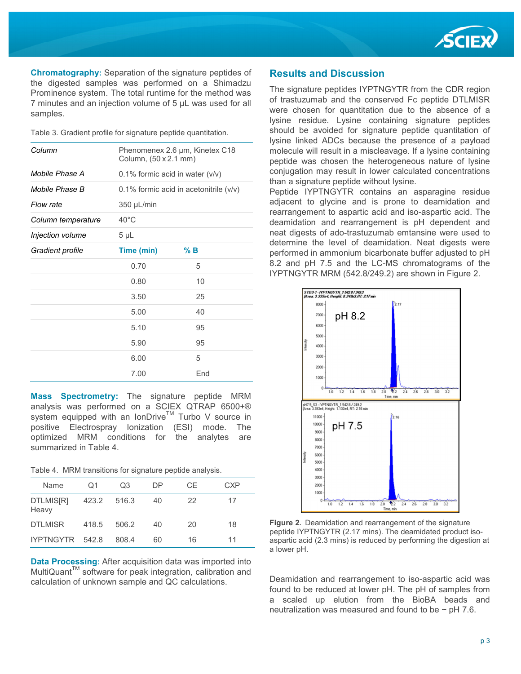

**Chromatography:** Separation of the signature peptides of the digested samples was performed on a Shimadzu Prominence system. The total runtime for the method was 7 minutes and an injection volume of 5 µL was used for all samples.

Table 3. Gradient profile for signature peptide quantitation.

| Column             | Phenomenex 2.6 µm, Kinetex C18<br>Column, (50 x 2.1 mm) |                                          |  |  |  |
|--------------------|---------------------------------------------------------|------------------------------------------|--|--|--|
| Mobile Phase A     |                                                         | 0.1% formic acid in water $(v/v)$        |  |  |  |
| Mobile Phase B     |                                                         | 0.1% formic acid in acetonitrile $(v/v)$ |  |  |  |
| Flow rate          | 350 µL/min                                              |                                          |  |  |  |
| Column temperature | $40^{\circ}$ C                                          |                                          |  |  |  |
| Injection volume   | $5 \mu L$                                               |                                          |  |  |  |
| Gradient profile   | Time (min)                                              | $%$ B                                    |  |  |  |
|                    | 0.70                                                    | 5                                        |  |  |  |
|                    | 0.80                                                    | 10                                       |  |  |  |
|                    | 3.50                                                    | 25                                       |  |  |  |
|                    | 5.00                                                    | 40                                       |  |  |  |
|                    | 5.10                                                    | 95                                       |  |  |  |
|                    | 5.90                                                    | 95                                       |  |  |  |
|                    | 6.00                                                    | 5                                        |  |  |  |
|                    | 7.00                                                    | End                                      |  |  |  |

**Mass Spectrometry:** The signature peptide MRM analysis was performed on a SCIEX QTRAP 6500+® system equipped with an IonDrive<sup>TM</sup> Turbo V source in positive Electrospray Ionization (ESI) mode. The optimized MRM conditions for the analytes are summarized in Table 4.

|  |  | Table 4. MRM transitions for signature peptide analysis. |  |  |  |  |
|--|--|----------------------------------------------------------|--|--|--|--|
|--|--|----------------------------------------------------------|--|--|--|--|

| Name               | Q1    | Q3    | DP. | CF | <b>CXP</b> |
|--------------------|-------|-------|-----|----|------------|
| DTLMIS[R]<br>Heavy | 423.2 | 516.3 | 40  | 22 | 17         |
| <b>DTLMISR</b>     | 418.5 | 506.2 | 40  | 20 | 18         |
| IYPTNGYTR 542.8    |       | 808.4 | 60  | 16 | 11         |

**Data Processing:** After acquisition data was imported into MultiQuant™ software for peak integration, calibration and calculation of unknown sample and QC calculations.

### **Results and Discussion**

The signature peptides IYPTNGYTR from the CDR region of trastuzumab and the conserved Fc peptide DTLMISR were chosen for quantitation due to the absence of a lysine residue. Lysine containing signature peptides should be avoided for signature peptide quantitation of lysine linked ADCs because the presence of a payload molecule will result in a miscleavage. If a lysine containing peptide was chosen the heterogeneous nature of lysine conjugation may result in lower calculated concentrations than a signature peptide without lysine.

Peptide IYPTNGYTR contains an asparagine residue adjacent to glycine and is prone to deamidation and rearrangement to aspartic acid and iso-aspartic acid. The deamidation and rearrangement is pH dependent and neat digests of ado-trastuzumab emtansine were used to determine the level of deamidation. Neat digests were performed in ammonium bicarbonate buffer adjusted to pH 8.2 and pH 7.5 and the LC-MS chromatograms of the IYPTNGYTR MRM (542.8/249.2) are shown in Figure 2.



**Figure 2.** Deamidation and rearrangement of the signature peptide IYPTNGYTR (2.17 mins). The deamidated product isoaspartic acid (2.3 mins) is reduced by performing the digestion at a lower pH.

Deamidation and rearrangement to iso-aspartic acid was found to be reduced at lower pH. The pH of samples from a scaled up elution from the BioBA beads and neutralization was measured and found to be  $\sim$  pH 7.6.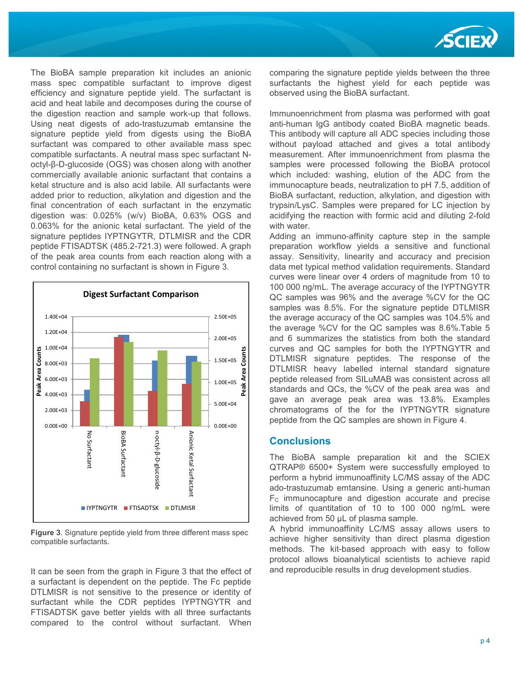

The BioBA sample preparation kit includes an anionic mass spec compatible surfactant to improve digest efficiency and signature peptide yield. The surfactant is acid and heat labile and decomposes during the course of the digestion reaction and sample work-up that follows. Using neat digests of ado-trastuzumab emtansine the signature peptide yield from digests using the BioBA surfactant was compared to other available mass spec compatible surfactants. A neutral mass spec surfactant Noctyl-β-D-glucoside (OGS) was chosen along with another commercially available anionic surfactant that contains a ketal structure and is also acid labile. All surfactants were added prior to reduction, alkylation and digestion and the final concentration of each surfactant in the enzymatic digestion was: 0.025% (w/v) BioBA, 0.63% OGS and 0.063% for the anionic ketal surfactant. The yield of the signature peptides IYPTNGYTR, DTLMISR and the CDR peptide FTISADTSK (485.2-721.3) were followed. A graph of the peak area counts from each reaction along with a control containing no surfactant is shown in Figure 3.



**Figure 3**. Signature peptide yield from three different mass spec compatible surfactants**.** 

It can be seen from the graph in Figure 3 that the effect of a surfactant is dependent on the peptide. The Fc peptide DTLMISR is not sensitive to the presence or identity of surfactant while the CDR peptides IYPTNGYTR and FTISADTSK gave better yields with all three surfactants compared to the control without surfactant. When

comparing the signature peptide yields between the three surfactants the highest yield for each peptide was observed using the BioBA surfactant.

Immunoenrichment from plasma was performed with goat anti-human IgG antibody coated BioBA magnetic beads. This antibody will capture all ADC species including those without payload attached and gives a total antibody measurement. After immunoenrichment from plasma the samples were processed following the BioBA protocol which included: washing, elution of the ADC from the immunocapture beads, neutralization to pH 7.5, addition of BioBA surfactant, reduction, alkylation, and digestion with trypsin/LysC. Samples were prepared for LC injection by acidifying the reaction with formic acid and diluting 2-fold with water.

Adding an immuno-affinity capture step in the sample preparation workflow yields a sensitive and functional assay. Sensitivity, linearity and accuracy and precision data met typical method validation requirements. Standard curves were linear over 4 orders of magnitude from 10 to 100 000 ng/mL. The average accuracy of the IYPTNGYTR QC samples was 96% and the average %CV for the QC samples was 8.5%. For the signature peptide DTLMISR the average accuracy of the QC samples was 104.5% and the average %CV for the QC samples was 8.6%.Table 5 and 6 summarizes the statistics from both the standard curves and QC samples for both the IYPTNGYTR and DTLMISR signature peptides. The response of the DTLMISR heavy labelled internal standard signature peptide released from SILuMAB was consistent across all standards and QCs, the %CV of the peak area was and gave an average peak area was 13.8%. Examples chromatograms of the for the IYPTNGYTR signature peptide from the QC samples are shown in Figure 4.

#### **Conclusions**

The BioBA sample preparation kit and the SCIEX QTRAP® 6500+ System were successfully employed to perform a hybrid immunoaffinity LC/MS assay of the ADC ado-trastuzumab emtansine. Using a generic anti-human  $F<sub>C</sub>$  immunocapture and digestion accurate and precise limits of quantitation of 10 to 100 000 ng/mL were achieved from 50 µL of plasma sample.

A hybrid immunoaffinity LC/MS assay allows users to achieve higher sensitivity than direct plasma digestion methods. The kit-based approach with easy to follow protocol allows bioanalytical scientists to achieve rapid and reproducible results in drug development studies.